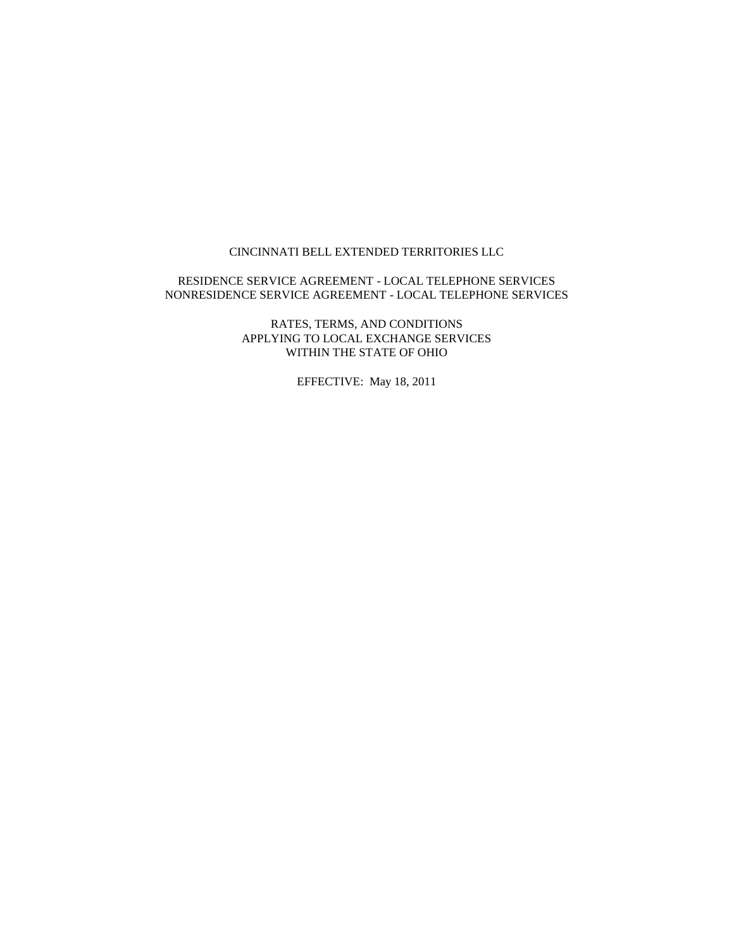#### CINCINNATI BELL EXTENDED TERRITORIES LLC

#### RESIDENCE SERVICE AGREEMENT - LOCAL TELEPHONE SERVICES NONRESIDENCE SERVICE AGREEMENT - LOCAL TELEPHONE SERVICES

RATES, TERMS, AND CONDITIONS APPLYING TO LOCAL EXCHANGE SERVICES WITHIN THE STATE OF OHIO

EFFECTIVE: May 18, 2011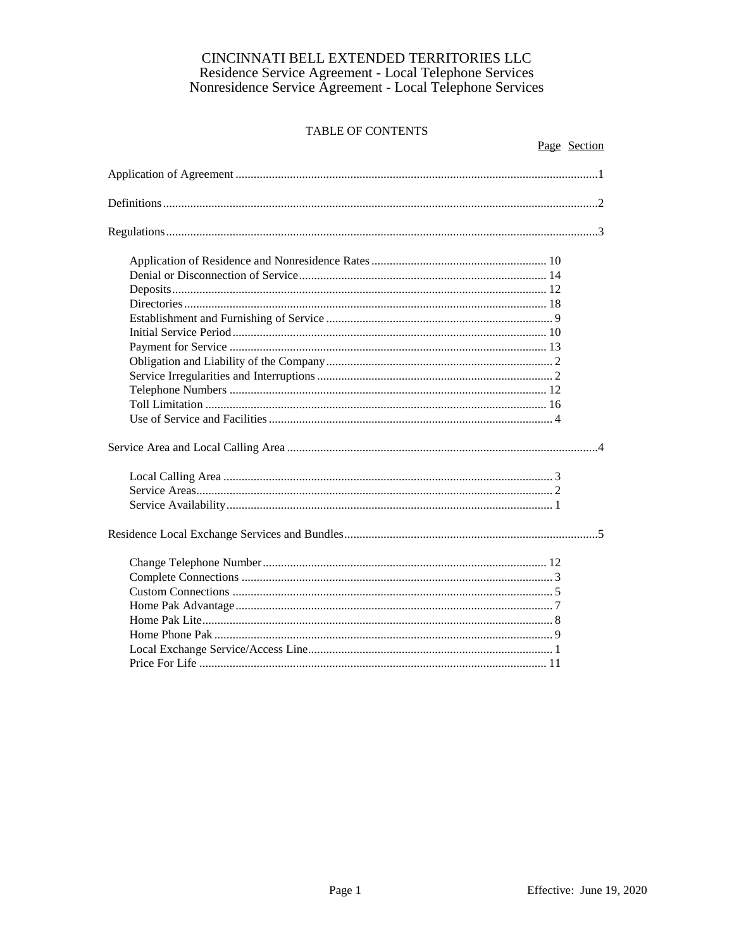| Page Section |
|--------------|
|              |
|              |
|              |
|              |
|              |
|              |
|              |
|              |
|              |
|              |
|              |
|              |
|              |
|              |
|              |
|              |
|              |
|              |
|              |
|              |
|              |
|              |
|              |
|              |
|              |
|              |
|              |
|              |
|              |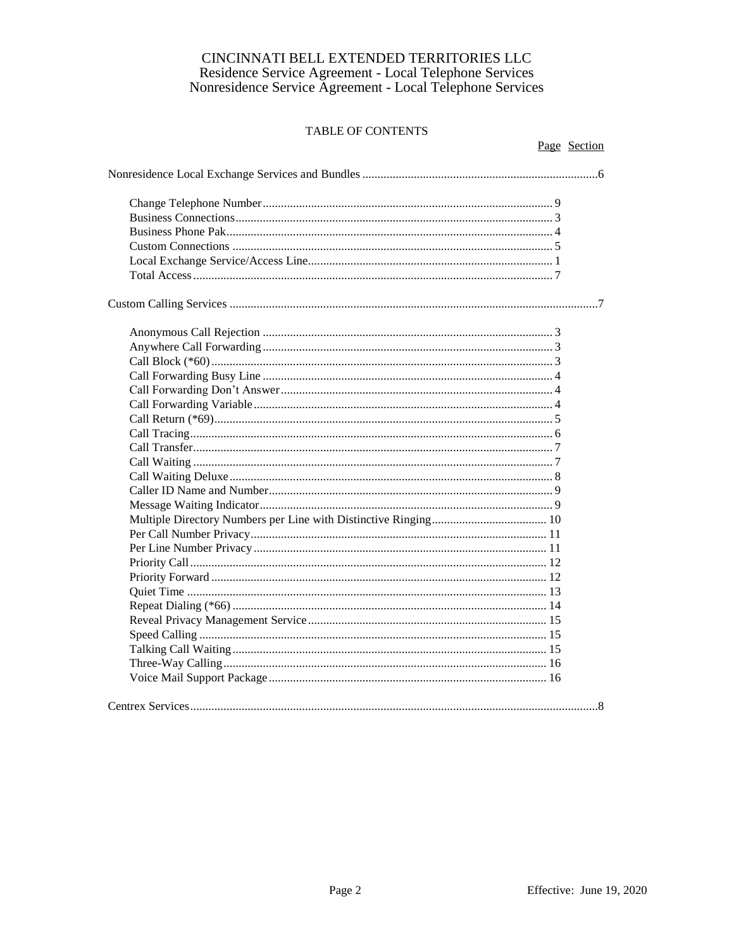| Page Section |
|--------------|
|              |
|              |
|              |
|              |
|              |
|              |
|              |
|              |
|              |
|              |
|              |
|              |
|              |
|              |
|              |
|              |
|              |
|              |
|              |
|              |
|              |
|              |
|              |
|              |
|              |
|              |
|              |
|              |
|              |
|              |
|              |
|              |
|              |
|              |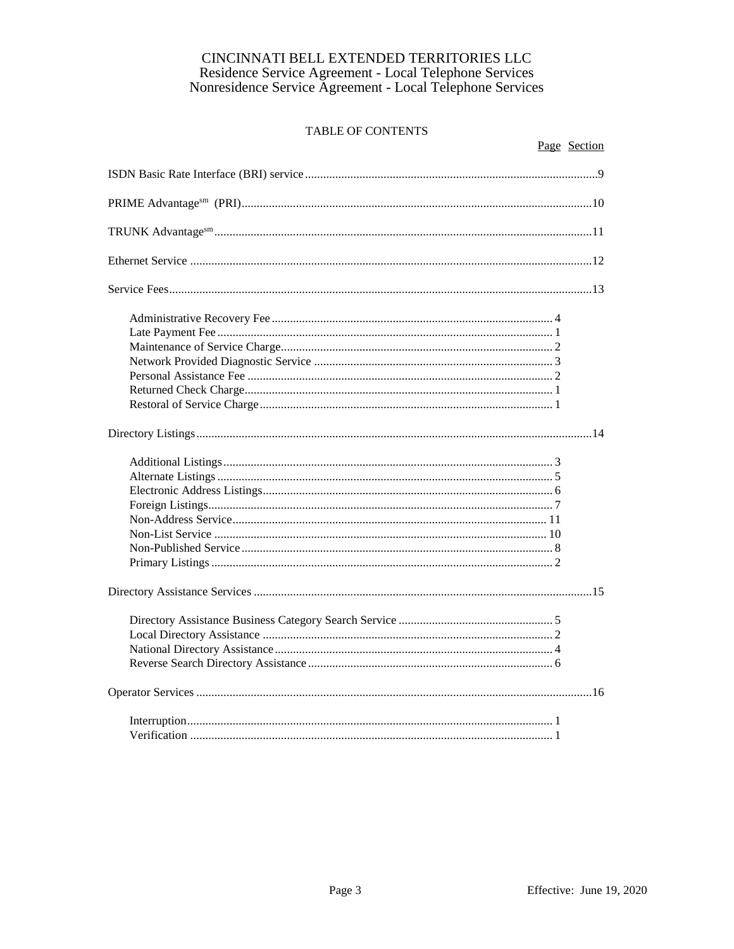| Page Section |
|--------------|
|              |
|              |
|              |
|              |
|              |
|              |
|              |
|              |
|              |
|              |
|              |
|              |